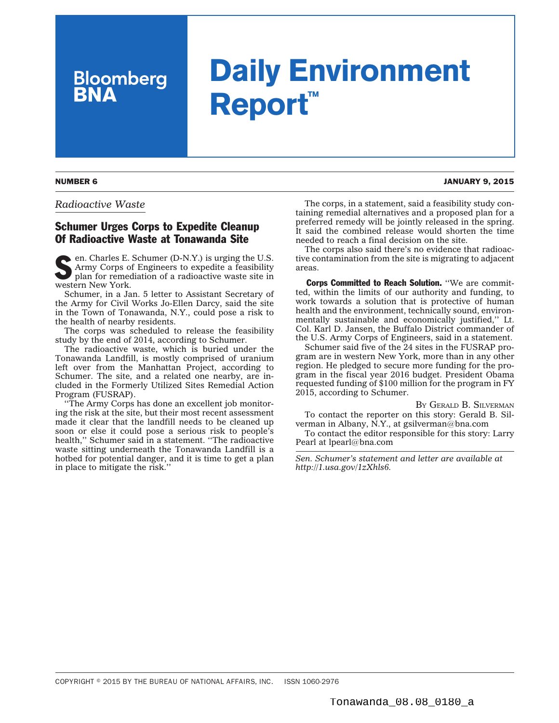## **Daily Environment Report™**

*Radioactive Waste*

**Bloomberg**<br>**BNA** 

## Schumer Urges Corps to Expedite Cleanup Of Radioactive Waste at Tonawanda Site

 $\bullet$  en. Charles E. Schumer (D-N.Y.) is urging the U.S. Army Corps of Engineers to expedite a feasibility plan for remediation of a radioactive waste site in western New York.

Schumer, in a [Jan. 5 letter](http://1.usa.gov/1zXhls6) to Assistant Secretary of the Army for Civil Works Jo-Ellen Darcy, said the site in the Town of Tonawanda, N.Y., could pose a risk to the health of nearby residents.

The corps was scheduled to release the feasibility study by the end of 2014, according to Schumer.

The radioactive waste, which is buried under the Tonawanda Landfill, is mostly comprised of uranium left over from the Manhattan Project, according to Schumer. The site, and a related one nearby, are included in the Formerly Utilized Sites Remedial Action Program (FUSRAP).

''The Army Corps has done an excellent job monitoring the risk at the site, but their most recent assessment made it clear that the landfill needs to be cleaned up soon or else it could pose a serious risk to people's health," Schumer said in a statement. "The radioactive waste sitting underneath the Tonawanda Landfill is a hotbed for potential danger, and it is time to get a plan in place to mitigate the risk.''

The corps, in a statement, said a feasibility study containing remedial alternatives and a proposed plan for a preferred remedy will be jointly released in the spring. It said the combined release would shorten the time needed to reach a final decision on the site.

The corps also said there's no evidence that radioactive contamination from the site is migrating to adjacent areas.

Corps Committed to Reach Solution. ''We are committed, within the limits of our authority and funding, to work towards a solution that is protective of human health and the environment, technically sound, environmentally sustainable and economically justified,'' Lt. Col. Karl D. Jansen, the Buffalo District commander of the U.S. Army Corps of Engineers, said in a statement.

Schumer said five of the 24 sites in the FUSRAP program are in western New York, more than in any other region. He pledged to secure more funding for the program in the fiscal year 2016 budget. President Obama requested funding of \$100 million for the program in FY 2015, according to Schumer.

BY GERALD [B. SILVERMAN](mailto:gsilverman@bna.com)

To contact the reporter on this story: Gerald B. Silverman in Albany, N.Y., at [gsilverman@bna.com](mailto:gsilverman@bna.com)

To contact the editor responsible for this story: Larry Pearl at [lpearl@bna.com](mailto:lpearl@bna.com)

*Sen. Schumer's statement and letter are available at [http://1.usa.gov/1zXhls6.](http://1.usa.gov/1zXhls6)*

NUMBER 6 JANUARY 9, 2015